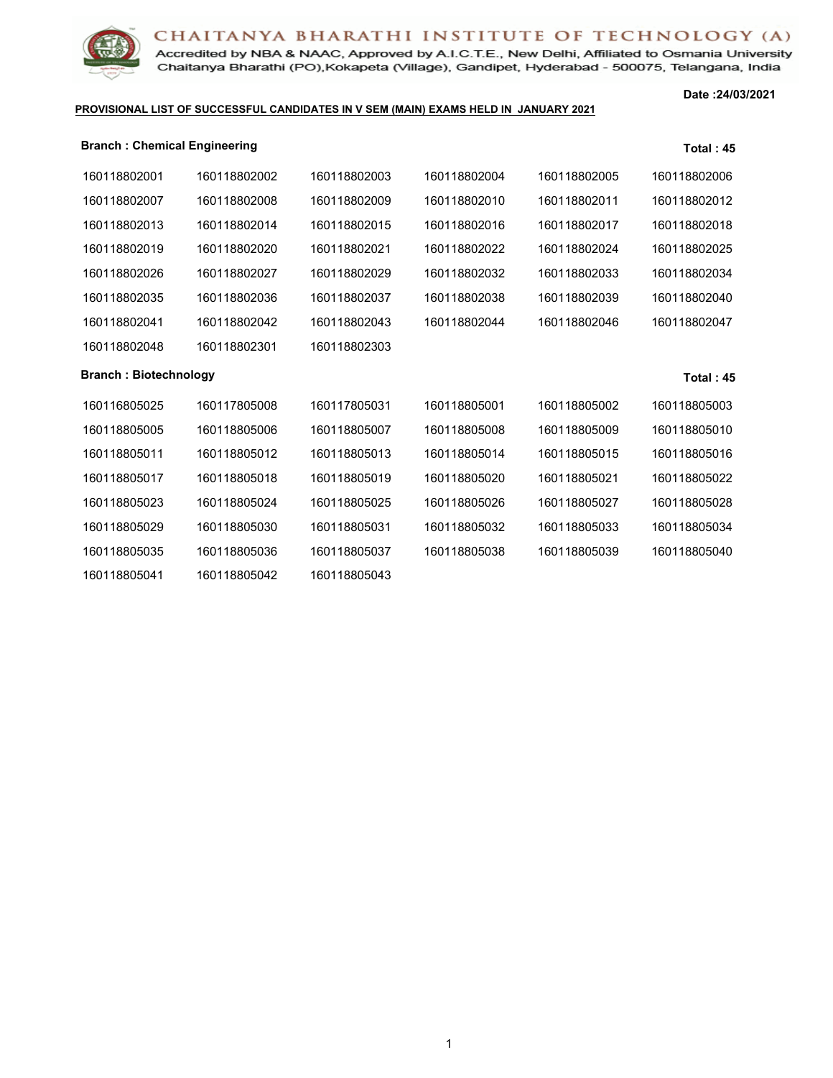Accredited by NBA & NAAC, Approved by A.I.C.T.E., New Delhi, Affiliated to Osmania University Chaitanya Bharathi (PO), Kokapeta (Village), Gandipet, Hyderabad - 500075, Telangana, India

#### **PROVISIONAL LIST OF SUCCESSFUL CANDIDATES IN V SEM (MAIN) EXAMS HELD IN JANUARY 2021**

**Date :24/03/2021**

| <b>Branch: Chemical Engineering</b> |              |              |              |              | <b>Total: 45</b> |
|-------------------------------------|--------------|--------------|--------------|--------------|------------------|
| 160118802001                        | 160118802002 | 160118802003 | 160118802004 | 160118802005 | 160118802006     |
| 160118802007                        | 160118802008 | 160118802009 | 160118802010 | 160118802011 | 160118802012     |
| 160118802013                        | 160118802014 | 160118802015 | 160118802016 | 160118802017 | 160118802018     |
| 160118802019                        | 160118802020 | 160118802021 | 160118802022 | 160118802024 | 160118802025     |
| 160118802026                        | 160118802027 | 160118802029 | 160118802032 | 160118802033 | 160118802034     |
| 160118802035                        | 160118802036 | 160118802037 | 160118802038 | 160118802039 | 160118802040     |
| 160118802041                        | 160118802042 | 160118802043 | 160118802044 | 160118802046 | 160118802047     |
| 160118802048                        | 160118802301 | 160118802303 |              |              |                  |
| <b>Branch: Biotechnology</b>        |              |              |              |              | Total: 45        |
| 160116805025                        | 160117805008 | 160117805031 | 160118805001 | 160118805002 | 160118805003     |
| 160118805005                        | 160118805006 | 160118805007 | 160118805008 | 160118805009 | 160118805010     |
| 160118805011                        | 160118805012 | 160118805013 | 160118805014 | 160118805015 | 160118805016     |
| 160118805017                        | 160118805018 | 160118805019 | 160118805020 | 160118805021 | 160118805022     |
| 160118805023                        | 160118805024 | 160118805025 | 160118805026 | 160118805027 | 160118805028     |
| 160118805029                        | 160118805030 | 160118805031 | 160118805032 | 160118805033 | 160118805034     |
| 160118805035                        | 160118805036 | 160118805037 | 160118805038 | 160118805039 | 160118805040     |
| 160118805041                        | 160118805042 | 160118805043 |              |              |                  |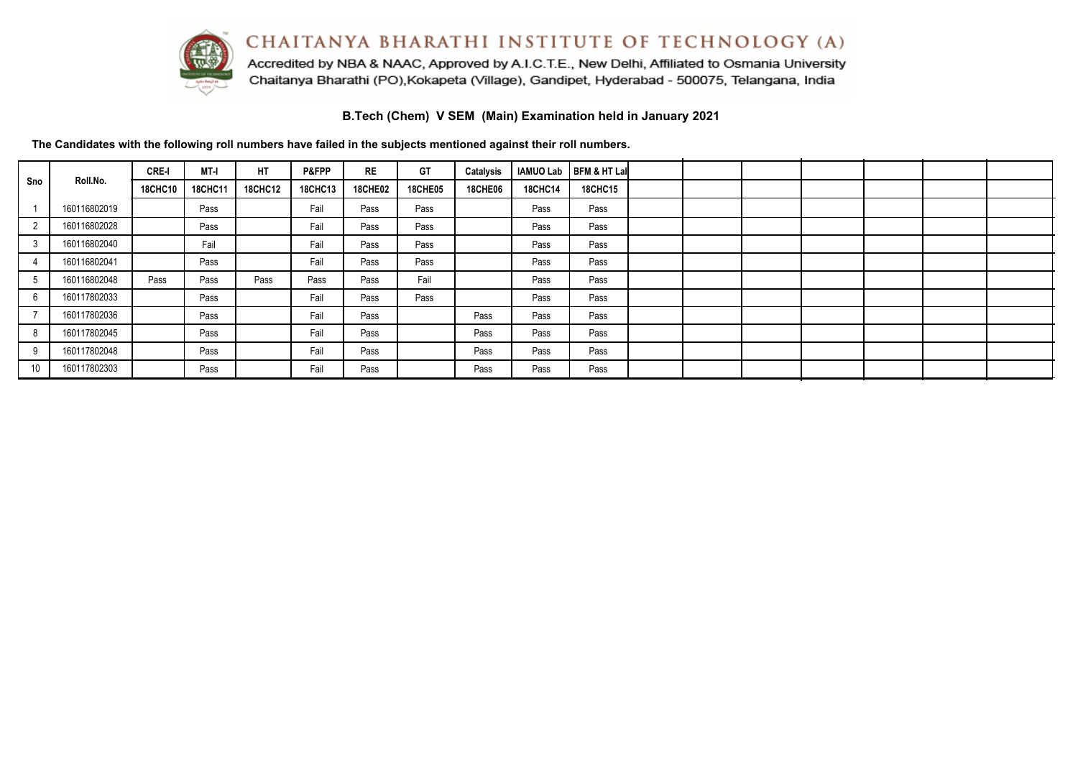

Accredited by NBA & NAAC, Approved by A.I.C.T.E., New Delhi, Affiliated to Osmania University Chaitanya Bharathi (PO), Kokapeta (Village), Gandipet, Hyderabad - 500075, Telangana, India

**B.Tech (Chem) V SEM (Main) Examination held in January 2021**

**The Candidates with the following roll numbers have failed in the subjects mentioned against their roll numbers.**

|                |              | <b>CRE-I</b>   | MT-I    | HT             | P&FPP          | <b>RE</b>      | GT             | Catalysis      |                | IAMUO Lab   BFM & HT Lal |  |  |  |  |
|----------------|--------------|----------------|---------|----------------|----------------|----------------|----------------|----------------|----------------|--------------------------|--|--|--|--|
| Sno            | Roll.No.     | <b>18CHC10</b> | 18CHC11 | <b>18CHC12</b> | <b>18CHC13</b> | <b>18CHE02</b> | <b>18CHE05</b> | <b>18CHE06</b> | <b>18CHC14</b> | <b>18CHC15</b>           |  |  |  |  |
|                | 160116802019 |                | Pass    |                | Fail           | Pass           | Pass           |                | Pass           | Pass                     |  |  |  |  |
| $\overline{2}$ | 160116802028 |                | Pass    |                | Fail           | Pass           | Pass           |                | Pass           | Pass                     |  |  |  |  |
| 3              | 160116802040 |                | Fail    |                | Fail           | Pass           | Pass           |                | Pass           | Pass                     |  |  |  |  |
|                | 160116802041 |                | Pass    |                | Fail           | Pass           | Pass           |                | Pass           | Pass                     |  |  |  |  |
| -5             | 160116802048 | Pass           | Pass    | Pass           | Pass           | Pass           | Fail           |                | Pass           | Pass                     |  |  |  |  |
|                | 160117802033 |                | Pass    |                | Fail           | Pass           | Pass           |                | Pass           | Pass                     |  |  |  |  |
|                | 160117802036 |                | Pass    |                | Fail           | Pass           |                | Pass           | Pass           | Pass                     |  |  |  |  |
|                | 160117802045 |                | Pass    |                | Fail           | Pass           |                | Pass           | Pass           | Pass                     |  |  |  |  |
| 9              | 160117802048 |                | Pass    |                | Fail           | Pass           |                | Pass           | Pass           | Pass                     |  |  |  |  |
| 10             | 160117802303 |                | Pass    |                | Fail           | Pass           |                | Pass           | Pass           | Pass                     |  |  |  |  |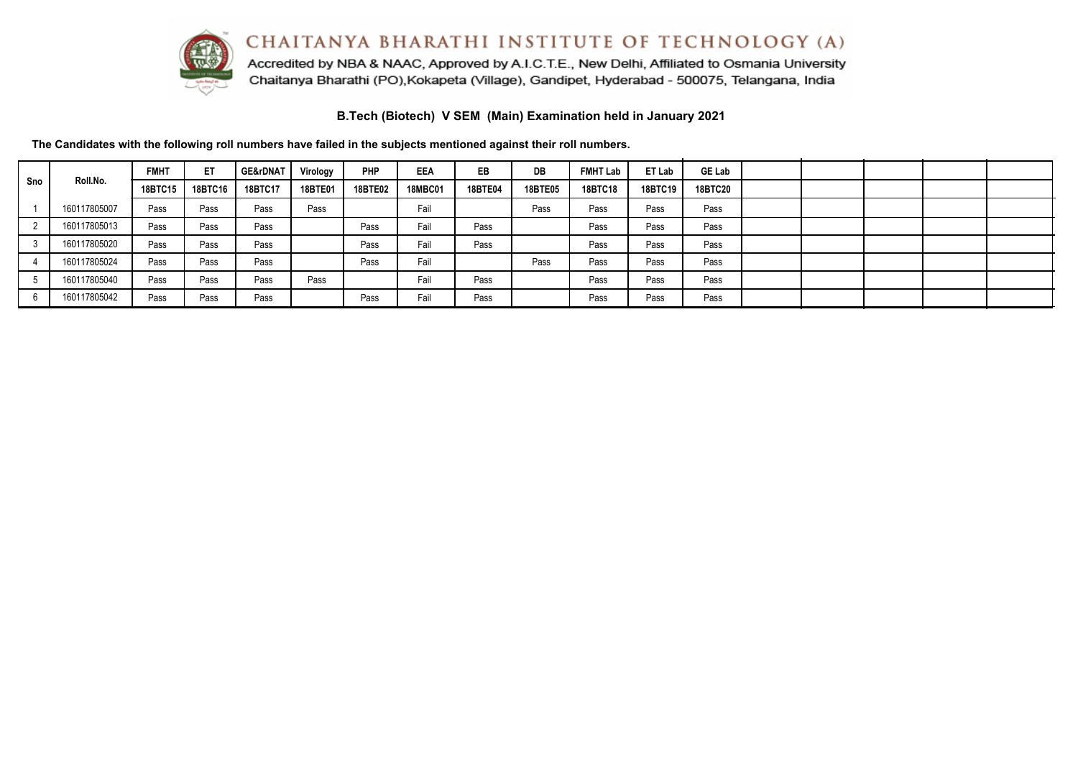

Accredited by NBA & NAAC, Approved by A.I.C.T.E., New Delhi, Affiliated to Osmania University Chaitanya Bharathi (PO), Kokapeta (Village), Gandipet, Hyderabad - 500075, Telangana, India

**B.Tech (Biotech) V SEM (Main) Examination held in January 2021**

**The Candidates with the following roll numbers have failed in the subjects mentioned against their roll numbers.**

| Sno |              | <b>FMHT</b>    | ET      | <b>GE&amp;rDNAT</b> | Virology | <b>PHP</b>     | EEA            | EB             | DB             | <b>FMHT Lab</b> | ET Lab  | <b>GE Lab</b>  |  |  |  |
|-----|--------------|----------------|---------|---------------------|----------|----------------|----------------|----------------|----------------|-----------------|---------|----------------|--|--|--|
|     | Roll.No.     | <b>18BTC15</b> | 18BTC16 | 18BTC17             | 18BTE01  | <b>18BTE02</b> | <b>18MBC01</b> | <b>18BTE04</b> | <b>18BTE05</b> | <b>18BTC18</b>  | 18BTC19 | <b>18BTC20</b> |  |  |  |
|     | 160117805007 | Pass           | Pass    | Pass                | Pass     |                | Fail           |                | Pass           | Pass            | Pass    | Pass           |  |  |  |
|     | 160117805013 | Pass           | Pass    | Pass                |          | Pass           | Fail           | Pass           |                | Pass            | Pass    | Pass           |  |  |  |
|     | 160117805020 | Pass           | Pass    | Pass                |          | Pass           | Fail           | Pass           |                | Pass            | Pass    | Pass           |  |  |  |
|     | 160117805024 | Pass           | Pass    | Pass                |          | Pass           | Fail           |                | Pass           | Pass            | Pass    | Pass           |  |  |  |
|     | 160117805040 | Pass           | Pass    | Pass                | Pass     |                | Fail           | Pass           |                | Pass            | Pass    | Pass           |  |  |  |
|     | 160117805042 | Pass           | Pass    | Pass                |          | Pass           | Fail           | Pass           |                | Pass            | Pass    | Pass           |  |  |  |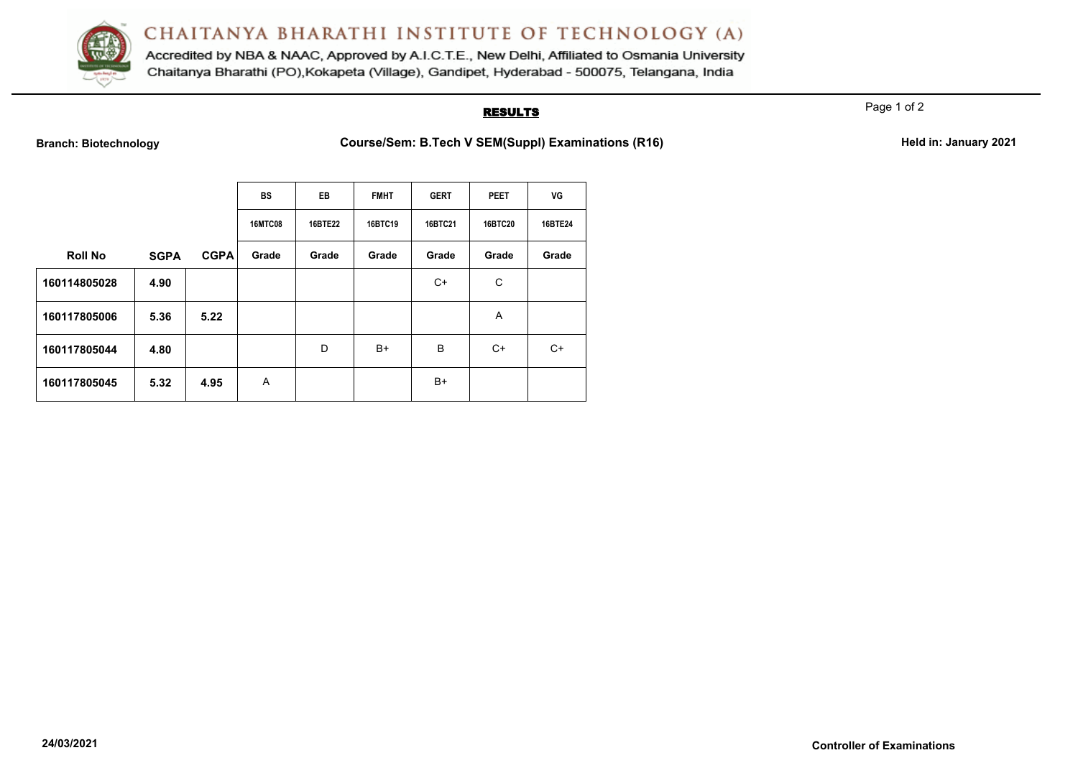

Accredited by NBA & NAAC, Approved by A.I.C.T.E., New Delhi, Affiliated to Osmania University Chaitanya Bharathi (PO), Kokapeta (Village), Gandipet, Hyderabad - 500075, Telangana, India

### **RESULTS**

Page 1 of 2

Branch: Biotechnology **Course/Sem: B.Tech V SEM(Suppl) Examinations (R16) Held in: January 2021** 

|                |             |             | <b>BS</b>      | EB             | <b>FMHT</b> | <b>GERT</b> | <b>PEET</b>    | VG      |
|----------------|-------------|-------------|----------------|----------------|-------------|-------------|----------------|---------|
|                |             |             | <b>16MTC08</b> | <b>16BTE22</b> | 16BTC19     | 16BTC21     | <b>16BTC20</b> | 16BTE24 |
| <b>Roll No</b> | <b>SGPA</b> | <b>CGPA</b> | Grade          | Grade          | Grade       | Grade       | Grade          | Grade   |
| 160114805028   | 4.90        |             |                |                |             | $C+$        | С              |         |
| 160117805006   | 5.36        | 5.22        |                |                |             |             | A              |         |
| 160117805044   | 4.80        |             |                | D              | $B+$        | B           | C+             | C+      |
| 160117805045   | 5.32        | 4.95        | A              |                |             | $B+$        |                |         |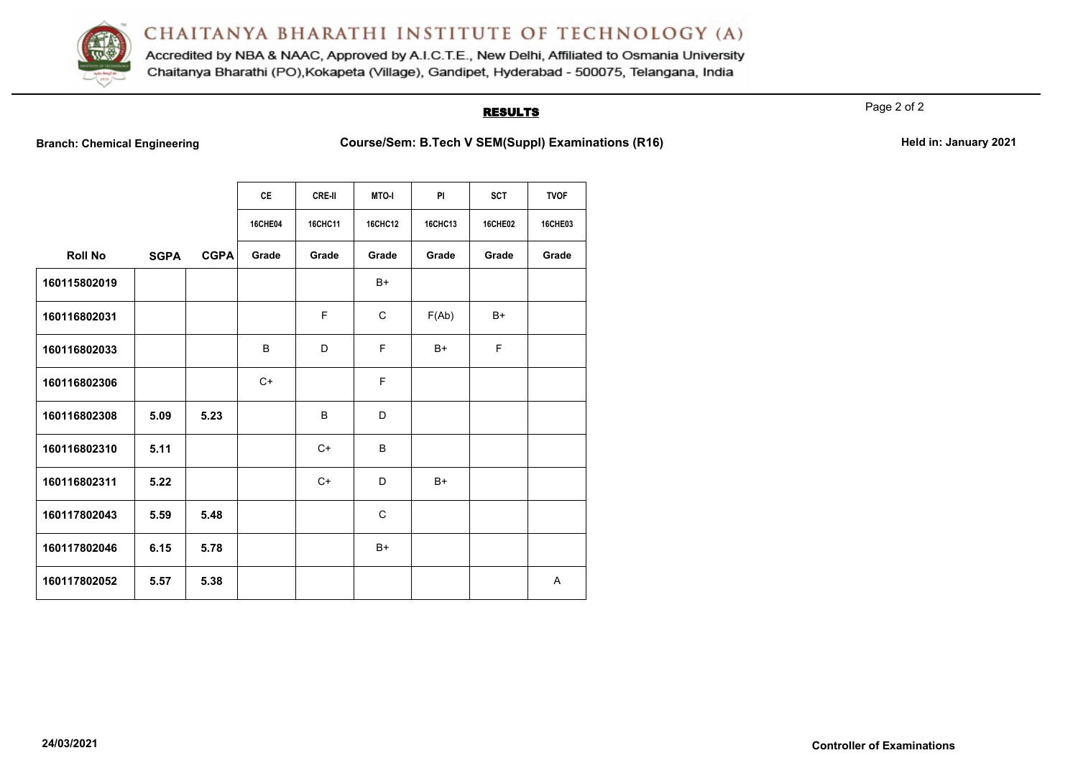

Accredited by NBA & NAAC, Approved by A.I.C.T.E., New Delhi, Affiliated to Osmania University Chaitanya Bharathi (PO), Kokapeta (Village), Gandipet, Hyderabad - 500075, Telangana, India

## **RESULTS**

Page 2 of 2

**Branch: Chemical Engineering <b>Course/Sem: B.Tech V SEM(Suppl) Examinations (R16) Held in: January 2021** 

|                |             |             | <b>CE</b> | <b>CRE-II</b>  | <b>MTO-I</b>   | <b>PI</b>      | <b>SCT</b>     | <b>TVOF</b>    |
|----------------|-------------|-------------|-----------|----------------|----------------|----------------|----------------|----------------|
|                |             |             | 16CHE04   | <b>16CHC11</b> | <b>16CHC12</b> | <b>16CHC13</b> | <b>16CHE02</b> | <b>16CHE03</b> |
| <b>Roll No</b> | <b>SGPA</b> | <b>CGPA</b> | Grade     | Grade          | Grade          | Grade          | Grade          | Grade          |
| 160115802019   |             |             |           |                | $B+$           |                |                |                |
| 160116802031   |             |             |           | F              | $\mathsf{C}$   | F(Ab)          | B+             |                |
| 160116802033   |             |             | B         | D              | E              | $B+$           | F              |                |
| 160116802306   |             |             | $C+$      |                | E              |                |                |                |
| 160116802308   | 5.09        | 5.23        |           | B              | D              |                |                |                |
| 160116802310   | 5.11        |             |           | $C+$           | B              |                |                |                |
| 160116802311   | 5.22        |             |           | $C+$           | D              | $B+$           |                |                |
| 160117802043   | 5.59        | 5.48        |           |                | $\mathsf{C}$   |                |                |                |
| 160117802046   | 6.15        | 5.78        |           |                | $B+$           |                |                |                |
| 160117802052   | 5.57        | 5.38        |           |                |                |                |                | Α              |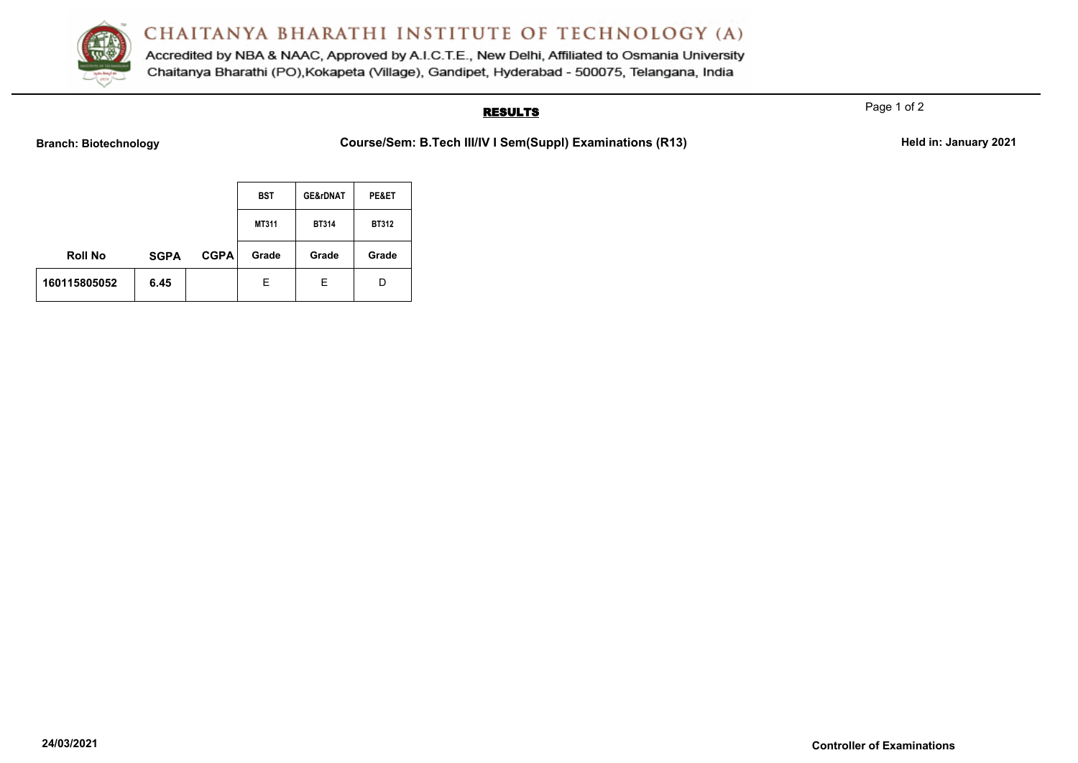

Accredited by NBA & NAAC, Approved by A.I.C.T.E., New Delhi, Affiliated to Osmania University Chaitanya Bharathi (PO), Kokapeta (Village), Gandipet, Hyderabad - 500075, Telangana, India

## **RESULTS**

Page 1 of 2

Branch: Biotechnology **Course/Sem: B.Tech III/IV I Sem(Suppl) Examinations (R13)** Held in: January 2021

|                |             |             | <b>BST</b> | <b>GE&amp;rDNAT</b> | PE&ET        |
|----------------|-------------|-------------|------------|---------------------|--------------|
|                |             |             | MT311      | <b>BT314</b>        | <b>BT312</b> |
| <b>Roll No</b> | <b>SGPA</b> | <b>CGPA</b> | Grade      | Grade               | Grade        |
| 160115805052   | 6.45        |             | Е          | Е                   | D            |